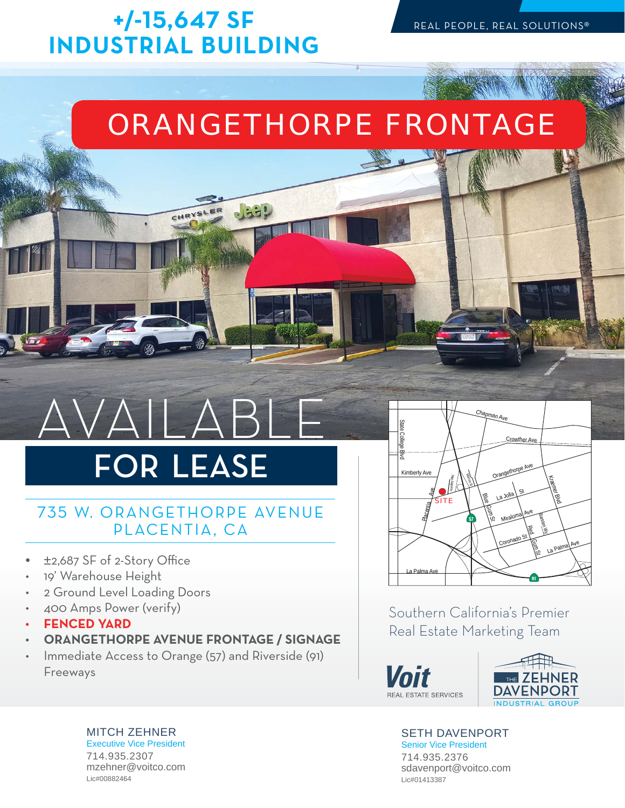## **-/- SF INDUSTRIAL BUILDING**

CHRYS

## ORANGETHORPE FRONTAGE

# AVAILABLE

# FOR LEASE

### 735 W. ORANGETHORPE AVENUE PLACENTIA, CA

- $±2,687$  SF of 2-Story Office
- 19' Warehouse Height
- 2 Ground Level Loading Doors
- 400 Amps Power (verify)
- **FENCED YARD**
- **ORANGETHORPE AVENUE FRONTAGE / SIGNAGE**
- Immediate Access to Orange (57) and Riverside (91) Freeways



Southern California's Premier Real Estate Marketing Team





#### SETH DAVENPORT

Senior Vice President 714.935.2376 sdavenport@voitco.com Lic#01413387

MITCH ZEHNER Executive Vice President 714.935.2307 mzehner@voitco.com Lic#00882464